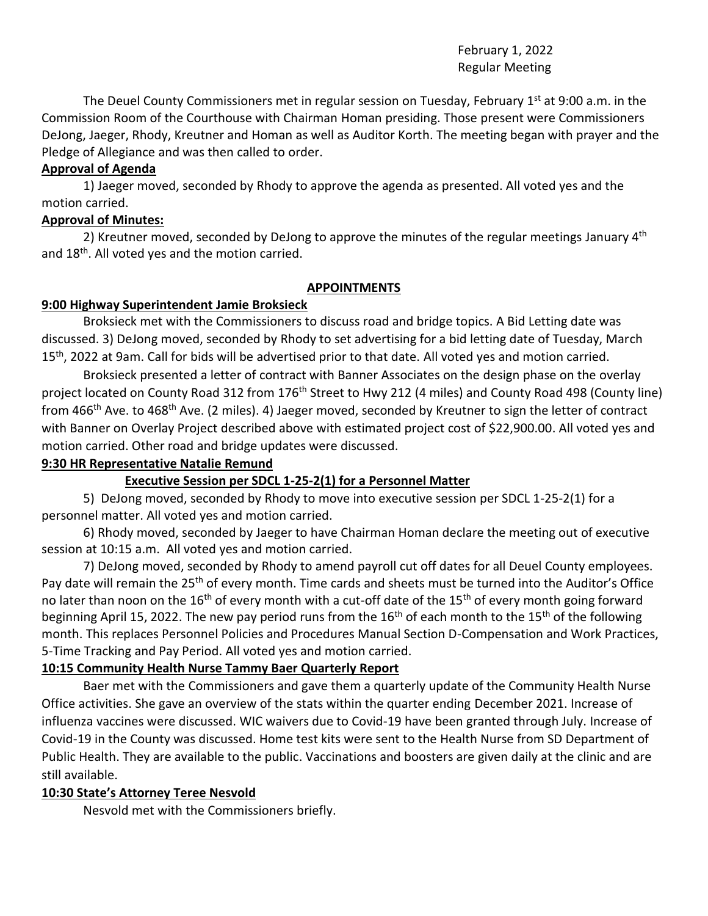# February 1, 2022 Regular Meeting

The Deuel County Commissioners met in regular session on Tuesday, February  $1<sup>st</sup>$  at 9:00 a.m. in the Commission Room of the Courthouse with Chairman Homan presiding. Those present were Commissioners DeJong, Jaeger, Rhody, Kreutner and Homan as well as Auditor Korth. The meeting began with prayer and the Pledge of Allegiance and was then called to order.

# **Approval of Agenda**

1) Jaeger moved, seconded by Rhody to approve the agenda as presented. All voted yes and the motion carried.

## **Approval of Minutes:**

2) Kreutner moved, seconded by DeJong to approve the minutes of the regular meetings January 4<sup>th</sup> and 18<sup>th</sup>. All voted yes and the motion carried.

## **APPOINTMENTS**

# **9:00 Highway Superintendent Jamie Broksieck**

Broksieck met with the Commissioners to discuss road and bridge topics. A Bid Letting date was discussed. 3) DeJong moved, seconded by Rhody to set advertising for a bid letting date of Tuesday, March 15<sup>th</sup>, 2022 at 9am. Call for bids will be advertised prior to that date. All voted yes and motion carried.

Broksieck presented a letter of contract with Banner Associates on the design phase on the overlay project located on County Road 312 from 176<sup>th</sup> Street to Hwy 212 (4 miles) and County Road 498 (County line) from 466<sup>th</sup> Ave. to 468<sup>th</sup> Ave. (2 miles). 4) Jaeger moved, seconded by Kreutner to sign the letter of contract with Banner on Overlay Project described above with estimated project cost of \$22,900.00. All voted yes and motion carried. Other road and bridge updates were discussed.

# **9:30 HR Representative Natalie Remund**

# **Executive Session per SDCL 1-25-2(1) for a Personnel Matter**

5) DeJong moved, seconded by Rhody to move into executive session per SDCL 1-25-2(1) for a personnel matter. All voted yes and motion carried.

6) Rhody moved, seconded by Jaeger to have Chairman Homan declare the meeting out of executive session at 10:15 a.m. All voted yes and motion carried.

7) DeJong moved, seconded by Rhody to amend payroll cut off dates for all Deuel County employees. Pay date will remain the 25<sup>th</sup> of every month. Time cards and sheets must be turned into the Auditor's Office no later than noon on the 16<sup>th</sup> of every month with a cut-off date of the 15<sup>th</sup> of every month going forward beginning April 15, 2022. The new pay period runs from the 16<sup>th</sup> of each month to the 15<sup>th</sup> of the following month. This replaces Personnel Policies and Procedures Manual Section D-Compensation and Work Practices, 5-Time Tracking and Pay Period. All voted yes and motion carried.

# **10:15 Community Health Nurse Tammy Baer Quarterly Report**

Baer met with the Commissioners and gave them a quarterly update of the Community Health Nurse Office activities. She gave an overview of the stats within the quarter ending December 2021. Increase of influenza vaccines were discussed. WIC waivers due to Covid-19 have been granted through July. Increase of Covid-19 in the County was discussed. Home test kits were sent to the Health Nurse from SD Department of Public Health. They are available to the public. Vaccinations and boosters are given daily at the clinic and are still available.

# **10:30 State's Attorney Teree Nesvold**

Nesvold met with the Commissioners briefly.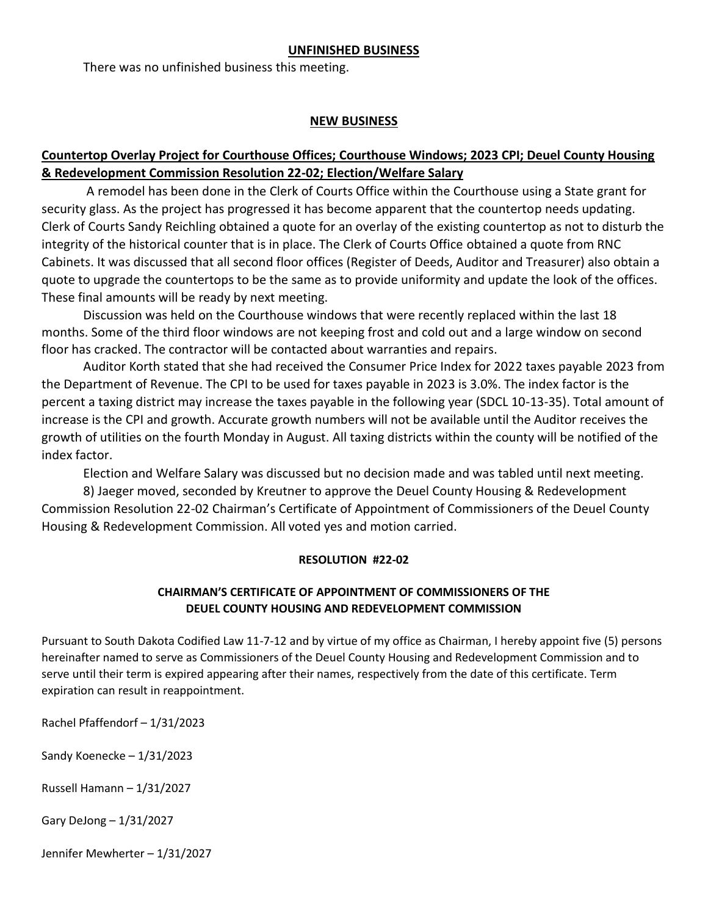#### **UNFINISHED BUSINESS**

There was no unfinished business this meeting.

#### **NEW BUSINESS**

# **Countertop Overlay Project for Courthouse Offices; Courthouse Windows; 2023 CPI; Deuel County Housing & Redevelopment Commission Resolution 22-02; Election/Welfare Salary**

A remodel has been done in the Clerk of Courts Office within the Courthouse using a State grant for security glass. As the project has progressed it has become apparent that the countertop needs updating. Clerk of Courts Sandy Reichling obtained a quote for an overlay of the existing countertop as not to disturb the integrity of the historical counter that is in place. The Clerk of Courts Office obtained a quote from RNC Cabinets. It was discussed that all second floor offices (Register of Deeds, Auditor and Treasurer) also obtain a quote to upgrade the countertops to be the same as to provide uniformity and update the look of the offices. These final amounts will be ready by next meeting.

Discussion was held on the Courthouse windows that were recently replaced within the last 18 months. Some of the third floor windows are not keeping frost and cold out and a large window on second floor has cracked. The contractor will be contacted about warranties and repairs.

Auditor Korth stated that she had received the Consumer Price Index for 2022 taxes payable 2023 from the Department of Revenue. The CPI to be used for taxes payable in 2023 is 3.0%. The index factor is the percent a taxing district may increase the taxes payable in the following year (SDCL 10-13-35). Total amount of increase is the CPI and growth. Accurate growth numbers will not be available until the Auditor receives the growth of utilities on the fourth Monday in August. All taxing districts within the county will be notified of the index factor.

Election and Welfare Salary was discussed but no decision made and was tabled until next meeting.

8) Jaeger moved, seconded by Kreutner to approve the Deuel County Housing & Redevelopment Commission Resolution 22-02 Chairman's Certificate of Appointment of Commissioners of the Deuel County Housing & Redevelopment Commission. All voted yes and motion carried.

### **RESOLUTION #22-02**

### **CHAIRMAN'S CERTIFICATE OF APPOINTMENT OF COMMISSIONERS OF THE DEUEL COUNTY HOUSING AND REDEVELOPMENT COMMISSION**

Pursuant to South Dakota Codified Law 11-7-12 and by virtue of my office as Chairman, I hereby appoint five (5) persons hereinafter named to serve as Commissioners of the Deuel County Housing and Redevelopment Commission and to serve until their term is expired appearing after their names, respectively from the date of this certificate. Term expiration can result in reappointment.

Rachel Pfaffendorf – 1/31/2023

Sandy Koenecke – 1/31/2023

Russell Hamann – 1/31/2027

Gary DeJong – 1/31/2027

Jennifer Mewherter – 1/31/2027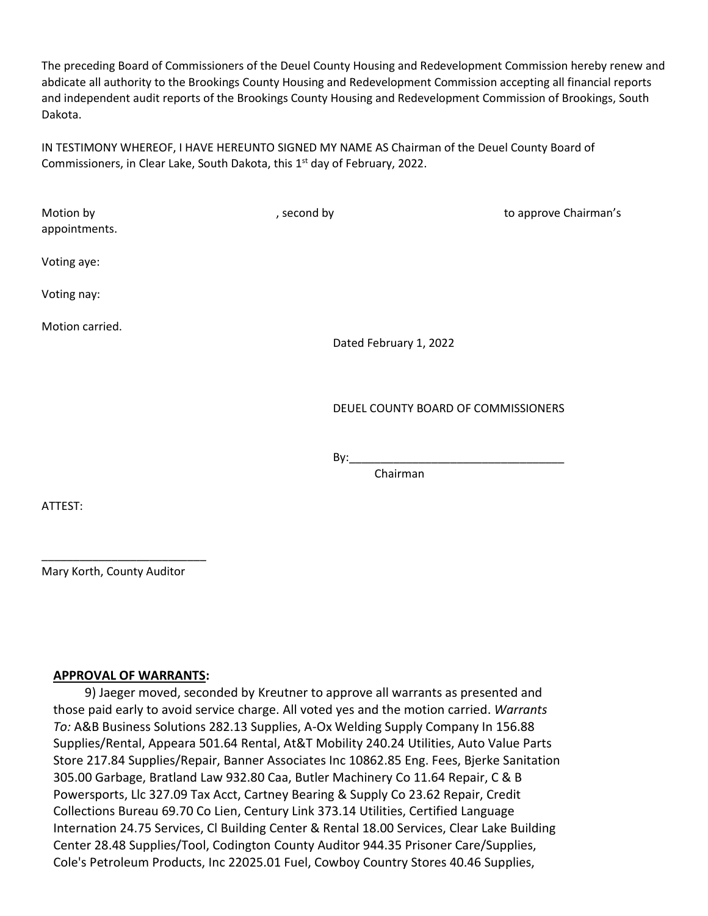The preceding Board of Commissioners of the Deuel County Housing and Redevelopment Commission hereby renew and abdicate all authority to the Brookings County Housing and Redevelopment Commission accepting all financial reports and independent audit reports of the Brookings County Housing and Redevelopment Commission of Brookings, South Dakota.

IN TESTIMONY WHEREOF, I HAVE HEREUNTO SIGNED MY NAME AS Chairman of the Deuel County Board of Commissioners, in Clear Lake, South Dakota, this 1<sup>st</sup> day of February, 2022.

| Motion by<br>appointments. | , second by                         | to approve Chairman's |
|----------------------------|-------------------------------------|-----------------------|
| Voting aye:                |                                     |                       |
| Voting nay:                |                                     |                       |
| Motion carried.            | Dated February 1, 2022              |                       |
|                            | DEUEL COUNTY BOARD OF COMMISSIONERS |                       |
|                            | By:                                 |                       |

Chairman

ATTEST:

Mary Korth, County Auditor

\_\_\_\_\_\_\_\_\_\_\_\_\_\_\_\_\_\_\_\_\_\_\_\_\_\_

#### **APPROVAL OF WARRANTS:**

 9) Jaeger moved, seconded by Kreutner to approve all warrants as presented and those paid early to avoid service charge. All voted yes and the motion carried. *Warrants To:* A&B Business Solutions 282.13 Supplies, A-Ox Welding Supply Company In 156.88 Supplies/Rental, Appeara 501.64 Rental, At&T Mobility 240.24 Utilities, Auto Value Parts Store 217.84 Supplies/Repair, Banner Associates Inc 10862.85 Eng. Fees, Bjerke Sanitation 305.00 Garbage, Bratland Law 932.80 Caa, Butler Machinery Co 11.64 Repair, C & B Powersports, Llc 327.09 Tax Acct, Cartney Bearing & Supply Co 23.62 Repair, Credit Collections Bureau 69.70 Co Lien, Century Link 373.14 Utilities, Certified Language Internation 24.75 Services, Cl Building Center & Rental 18.00 Services, Clear Lake Building Center 28.48 Supplies/Tool, Codington County Auditor 944.35 Prisoner Care/Supplies, Cole's Petroleum Products, Inc 22025.01 Fuel, Cowboy Country Stores 40.46 Supplies,